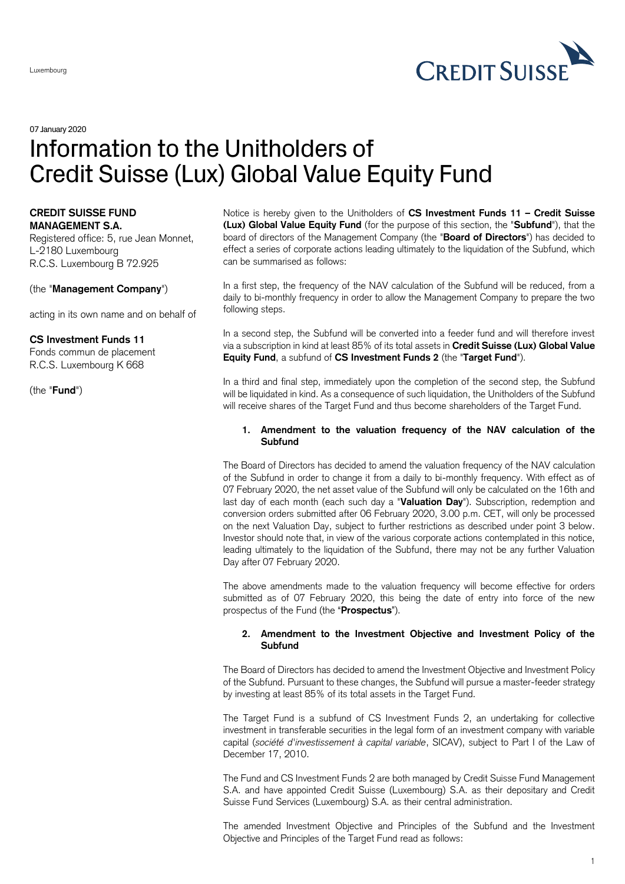

07 January 2020

# Information to the Unitholders of Credit Suisse (Lux) Global Value Equity Fund

#### **CREDIT SUISSE FUND MANAGEMENT S.A.**

Registered office: 5, rue Jean Monnet, L-2180 Luxembourg R.C.S. Luxembourg B 72.925

(the "**Management Company**")

acting in its own name and on behalf of

# **CS Investment Funds 11**

Fonds commun de placement R.C.S. Luxembourg K 668

(the "**Fund**")

Notice is hereby given to the Unitholders of **CS Investment Funds 11 – Credit Suisse (Lux) Global Value Equity Fund** (for the purpose of this section, the "**Subfund**"), that the board of directors of the Management Company (the "**Board of Directors**") has decided to effect a series of corporate actions leading ultimately to the liquidation of the Subfund, which can be summarised as follows:

In a first step, the frequency of the NAV calculation of the Subfund will be reduced, from a daily to bi-monthly frequency in order to allow the Management Company to prepare the two following steps.

In a second step, the Subfund will be converted into a feeder fund and will therefore invest via a subscription in kind at least 85% of its total assets in **Credit Suisse (Lux) Global Value Equity Fund**, a subfund of **CS Investment Funds 2** (the "**Target Fund**").

In a third and final step, immediately upon the completion of the second step, the Subfund will be liquidated in kind. As a consequence of such liquidation, the Unitholders of the Subfund will receive shares of the Target Fund and thus become shareholders of the Target Fund.

# **1. Amendment to the valuation frequency of the NAV calculation of the Subfund**

The Board of Directors has decided to amend the valuation frequency of the NAV calculation of the Subfund in order to change it from a daily to bi-monthly frequency. With effect as of 07 February 2020, the net asset value of the Subfund will only be calculated on the 16th and last day of each month (each such day a "**Valuation Day**"). Subscription, redemption and conversion orders submitted after 06 February 2020, 3.00 p.m. CET, will only be processed on the next Valuation Day, subject to further restrictions as described under point 3 below. Investor should note that, in view of the various corporate actions contemplated in this notice, leading ultimately to the liquidation of the Subfund, there may not be any further Valuation Day after 07 February 2020.

The above amendments made to the valuation frequency will become effective for orders submitted as of 07 February 2020, this being the date of entry into force of the new prospectus of the Fund (the "**Prospectus**").

# **2. Amendment to the Investment Objective and Investment Policy of the Subfund**

The Board of Directors has decided to amend the Investment Objective and Investment Policy of the Subfund. Pursuant to these changes, the Subfund will pursue a master-feeder strategy by investing at least 85% of its total assets in the Target Fund.

The Target Fund is a subfund of CS Investment Funds 2, an undertaking for collective investment in transferable securities in the legal form of an investment company with variable capital (*société d'investissement à capital variable*, SICAV), subject to Part I of the Law of December 17, 2010.

The Fund and CS Investment Funds 2 are both managed by Credit Suisse Fund Management S.A. and have appointed Credit Suisse (Luxembourg) S.A. as their depositary and Credit Suisse Fund Services (Luxembourg) S.A. as their central administration.

The amended Investment Objective and Principles of the Subfund and the Investment Objective and Principles of the Target Fund read as follows: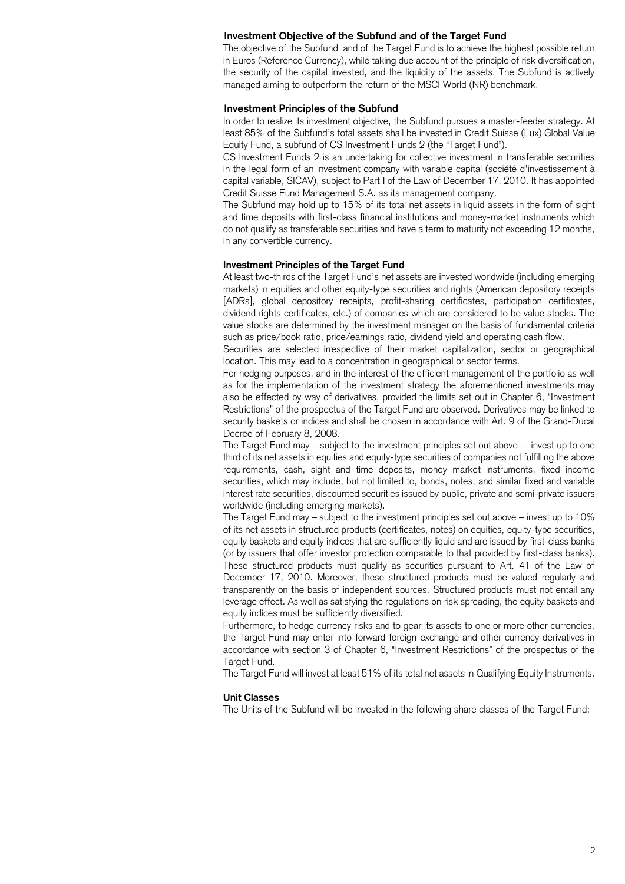#### **Investment Objective of the Subfund and of the Target Fund**

The objective of the Subfund and of the Target Fund is to achieve the highest possible return in Euros (Reference Currency), while taking due account of the principle of risk diversification, the security of the capital invested, and the liquidity of the assets. The Subfund is actively managed aiming to outperform the return of the MSCI World (NR) benchmark.

#### **Investment Principles of the Subfund**

In order to realize its investment objective, the Subfund pursues a master-feeder strategy. At least 85% of the Subfund's total assets shall be invested in Credit Suisse (Lux) Global Value Equity Fund, a subfund of CS Investment Funds 2 (the "Target Fund").

CS Investment Funds 2 is an undertaking for collective investment in transferable securities in the legal form of an investment company with variable capital (société d'investissement à capital variable, SICAV), subject to Part I of the Law of December 17, 2010. It has appointed Credit Suisse Fund Management S.A. as its management company.

The Subfund may hold up to 15% of its total net assets in liquid assets in the form of sight and time deposits with first-class financial institutions and money-market instruments which do not qualify as transferable securities and have a term to maturity not exceeding 12 months, in any convertible currency.

#### **Investment Principles of the Target Fund**

At least two-thirds of the Target Fund's net assets are invested worldwide (including emerging markets) in equities and other equity-type securities and rights (American depository receipts [ADRs], global depository receipts, profit-sharing certificates, participation certificates, dividend rights certificates, etc.) of companies which are considered to be value stocks. The value stocks are determined by the investment manager on the basis of fundamental criteria such as price/book ratio, price/earnings ratio, dividend yield and operating cash flow.

Securities are selected irrespective of their market capitalization, sector or geographical location. This may lead to a concentration in geographical or sector terms.

For hedging purposes, and in the interest of the efficient management of the portfolio as well as for the implementation of the investment strategy the aforementioned investments may also be effected by way of derivatives, provided the limits set out in Chapter 6, "Investment Restrictions" of the prospectus of the Target Fund are observed. Derivatives may be linked to security baskets or indices and shall be chosen in accordance with Art. 9 of the Grand-Ducal Decree of February 8, 2008.

The Target Fund may – subject to the investment principles set out above – invest up to one third of its net assets in equities and equity-type securities of companies not fulfilling the above requirements, cash, sight and time deposits, money market instruments, fixed income securities, which may include, but not limited to, bonds, notes, and similar fixed and variable interest rate securities, discounted securities issued by public, private and semi-private issuers worldwide (including emerging markets).

The Target Fund may – subject to the investment principles set out above – invest up to 10% of its net assets in structured products (certificates, notes) on equities, equity-type securities, equity baskets and equity indices that are sufficiently liquid and are issued by first-class banks (or by issuers that offer investor protection comparable to that provided by first-class banks). These structured products must qualify as securities pursuant to Art. 41 of the Law of December 17, 2010. Moreover, these structured products must be valued regularly and transparently on the basis of independent sources. Structured products must not entail any leverage effect. As well as satisfying the regulations on risk spreading, the equity baskets and equity indices must be sufficiently diversified.

Furthermore, to hedge currency risks and to gear its assets to one or more other currencies, the Target Fund may enter into forward foreign exchange and other currency derivatives in accordance with section 3 of Chapter 6, "Investment Restrictions" of the prospectus of the Target Fund.

The Target Fund will invest at least 51% of its total net assets in Qualifying Equity Instruments.

#### **Unit Classes**

The Units of the Subfund will be invested in the following share classes of the Target Fund: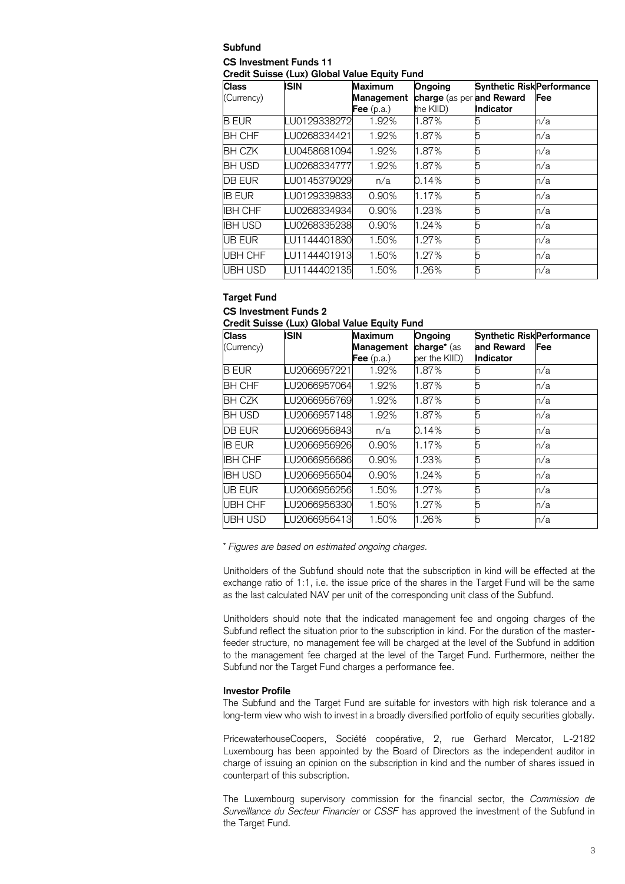#### **Subfund CS Investment Funds 11 Credit Suisse (Lux) Global Value Equity Fund**

| <b>Class</b>   | <b>ISIN</b>   | <b>Maximum</b>    | Ongoing                   | <b>Synthetic RiskPerformance</b> |     |
|----------------|---------------|-------------------|---------------------------|----------------------------------|-----|
| (Currency)     |               | Management        | charge (as per and Reward |                                  | Fee |
|                |               | <b>Fee</b> (p.a.) | the KIID)                 | <b>Indicator</b>                 |     |
| <b>B EUR</b>   | LU0129338272  | 1.92%             | 1.87%                     |                                  | n/a |
| <b>BH CHF</b>  | LU0268334421l | 1.92%             | 1.87%                     | 5                                | n/a |
| <b>BH CZK</b>  | LU0458681094  | 1.92%             | 1.87%                     | 5                                | n/a |
| <b>BH USD</b>  | LU0268334777  | 1.92%             | 1.87%                     | 5                                | n/a |
| <b>DB EUR</b>  | LU0145379029  | n/a               | 0.14%                     | 5                                | n/a |
| <b>IB EUR</b>  | LU0129339833  | 0.90%             | 1.17%                     | 5                                | n/a |
| <b>IBH CHF</b> | LU0268334934  | 0.90%             | 1.23%                     | 5                                | n/a |
| IBH USD        | LU0268335238  | 0.90%             | 1.24%                     | 5                                | n/a |
| <b>UB EUR</b>  | LU1144401830  | 1.50%             | 1.27%                     | 5                                | n/a |
| UBH CHF        | LU1144401913  | 1.50%             | 1.27%                     | 5                                | n/a |
| UBH USD        | LU1144402135  | 1.50%             | 1.26%                     | 5                                | n/a |

# **Target Fund**

**CS Investment Funds 2**

| Credit Suisse (Lux) Global Value Equity Fund |  |  |  |  |  |
|----------------------------------------------|--|--|--|--|--|
|----------------------------------------------|--|--|--|--|--|

| <b>Class</b>   | <b>ISIN</b>  | Maximum           | Ongoing             | <b>Synthetic Risk Performance</b> |     |
|----------------|--------------|-------------------|---------------------|-----------------------------------|-----|
| (Currency)     |              | Management        | <b>charge</b> * (as | and Reward                        | Fee |
|                |              | <b>Fee</b> (p.a.) | per the KIID)       | Indicator                         |     |
| <b>B EUR</b>   | LU2066957221 | 1.92%             | 1.87%               | b                                 | n/a |
| <b>BH CHF</b>  | LU2066957064 | 1.92%             | 1.87%               | 5                                 | n/a |
| <b>BH CZK</b>  | LU2066956769 | 1.92%             | 1.87%               | 5                                 | n/a |
| <b>BH USD</b>  | LU2066957148 | 1.92%             | 1.87%               | 5                                 | n/a |
| DB EUR         | LU2066956843 | n/a               | 0.14%               | 5                                 | n/a |
| <b>IB EUR</b>  | LU2066956926 | 0.90%             | 1.17%               | 5                                 | n/a |
| <b>IBH CHF</b> | LU2066956686 | 0.90%             | 1.23%               | 5                                 | n/a |
| <b>IBH USD</b> | LU2066956504 | 0.90%             | 1.24%               |                                   | n/a |
| <b>UB EUR</b>  | LU2066956256 | 1.50%             | 1.27%               | 5                                 | n/a |
| <b>UBH CHF</b> | LU2066956330 | 1.50%             | 1.27%               | 5                                 | n/a |
| UBH USD        | LU2066956413 | 1.50%             | 1.26%               | 5                                 | n/a |

\* *Figures are based on estimated ongoing charges.*

Unitholders of the Subfund should note that the subscription in kind will be effected at the exchange ratio of 1:1, i.e. the issue price of the shares in the Target Fund will be the same as the last calculated NAV per unit of the corresponding unit class of the Subfund.

Unitholders should note that the indicated management fee and ongoing charges of the Subfund reflect the situation prior to the subscription in kind. For the duration of the masterfeeder structure, no management fee will be charged at the level of the Subfund in addition to the management fee charged at the level of the Target Fund. Furthermore, neither the Subfund nor the Target Fund charges a performance fee.

# **Investor Profile**

The Subfund and the Target Fund are suitable for investors with high risk tolerance and a long-term view who wish to invest in a broadly diversified portfolio of equity securities globally.

PricewaterhouseCoopers, Société coopérative, 2, rue Gerhard Mercator, L-2182 Luxembourg has been appointed by the Board of Directors as the independent auditor in charge of issuing an opinion on the subscription in kind and the number of shares issued in counterpart of this subscription.

The Luxembourg supervisory commission for the financial sector, the *Commission de Surveillance du Secteur Financier* or *CSSF* has approved the investment of the Subfund in the Target Fund.